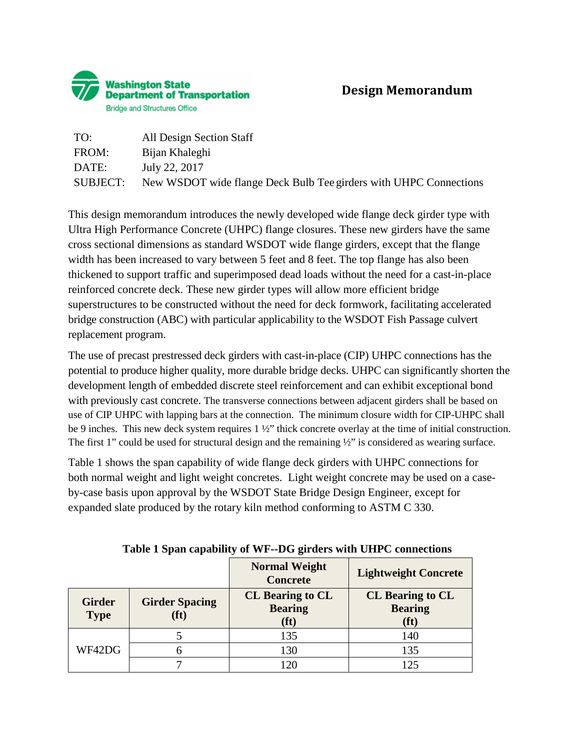

| TO:      | All Design Section Staff                                          |
|----------|-------------------------------------------------------------------|
| FROM:    | Bijan Khaleghi                                                    |
| DATE:    | July 22, 2017                                                     |
| SUBJECT: | New WSDOT wide flange Deck Bulb Tee girders with UHPC Connections |

This design memorandum introduces the newly developed wide flange deck girder type with Ultra High Performance Concrete (UHPC) flange closures. These new girders have the same cross sectional dimensions as standard WSDOT wide flange girders, except that the flange width has been increased to vary between 5 feet and 8 feet. The top flange has also been thickened to support traffic and superimposed dead loads without the need for a cast-in-place reinforced concrete deck. These new girder types will allow more efficient bridge superstructures to be constructed without the need for deck formwork, facilitating accelerated bridge construction (ABC) with particular applicability to the WSDOT Fish Passage culvert replacement program.

The use of precast prestressed deck girders with cast-in-place (CIP) UHPC connections has the potential to produce higher quality, more durable bridge decks. UHPC can significantly shorten the development length of embedded discrete steel reinforcement and can exhibit exceptional bond with previously cast concrete. The transverse connections between adjacent girders shall be based on use of CIP UHPC with lapping bars at the connection. The minimum closure width for CIP-UHPC shall be 9 inches. This new deck system requires 1 ½" thick concrete overlay at the time of initial construction. The first 1" could be used for structural design and the remaining ½" is considered as wearing surface.

Table 1 shows the span capability of wide flange deck girders with UHPC connections for both normal weight and light weight concretes. Light weight concrete may be used on a caseby-case basis upon approval by the WSDOT State Bridge Design Engineer, except for expanded slate produced by the rotary kiln method conforming to ASTM C 330.

|                              |                                            | <b>Normal Weight</b><br><b>Concrete</b>                        | <b>Lightweight Concrete</b>                                    |
|------------------------------|--------------------------------------------|----------------------------------------------------------------|----------------------------------------------------------------|
| <b>Girder</b><br><b>Type</b> | <b>Girder Spacing</b><br>(f <sup>t</sup> ) | <b>CL</b> Bearing to CL<br><b>Bearing</b><br>(f <sup>t</sup> ) | <b>CL</b> Bearing to CL<br><b>Bearing</b><br>(f <sup>t</sup> ) |
|                              |                                            | 135                                                            | 140                                                            |
| WF42DG                       | 6                                          | 130                                                            | 135                                                            |
|                              |                                            |                                                                | 125                                                            |

**Table 1 Span capability of WF--DG girders with UHPC connections**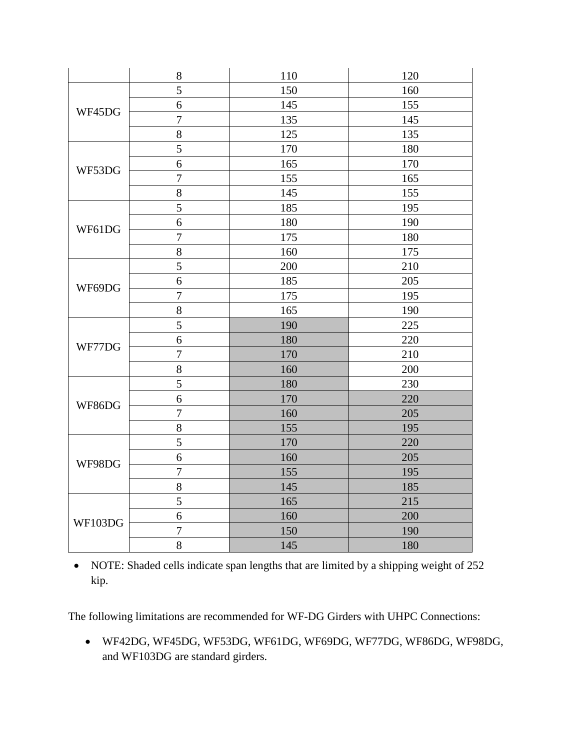|         | $8\,$            | 110 | 120 |
|---------|------------------|-----|-----|
| WF45DG  | 5                | 150 | 160 |
|         | 6                | 145 | 155 |
|         | $\overline{7}$   | 135 | 145 |
|         | $\boldsymbol{8}$ | 125 | 135 |
| WF53DG  | 5                | 170 | 180 |
|         | $\overline{6}$   | 165 | 170 |
|         | $\overline{7}$   | 155 | 165 |
|         | $\,8\,$          | 145 | 155 |
| WF61DG  | 5                | 185 | 195 |
|         | 6                | 180 | 190 |
|         | $\overline{7}$   | 175 | 180 |
|         | 8                | 160 | 175 |
|         | 5                | 200 | 210 |
| WF69DG  | $\overline{6}$   | 185 | 205 |
|         | $\overline{7}$   | 175 | 195 |
|         | 8                | 165 | 190 |
| WF77DG  | 5                | 190 | 225 |
|         | 6                | 180 | 220 |
|         | $\overline{7}$   | 170 | 210 |
|         | 8                | 160 | 200 |
| WF86DG  | 5                | 180 | 230 |
|         | $\boldsymbol{6}$ | 170 | 220 |
|         | $\overline{7}$   | 160 | 205 |
|         | 8                | 155 | 195 |
|         | $\overline{5}$   | 170 | 220 |
| WF98DG  | 6                | 160 | 205 |
|         | $\boldsymbol{7}$ | 155 | 195 |
|         | 8                | 145 | 185 |
| WF103DG | 5                | 165 | 215 |
|         | $\sqrt{6}$       | 160 | 200 |
|         | $\overline{7}$   | 150 | 190 |
|         | 8                | 145 | 180 |

• NOTE: Shaded cells indicate span lengths that are limited by a shipping weight of 252 kip.

The following limitations are recommended for WF-DG Girders with UHPC Connections:

• WF42DG, WF45DG, WF53DG, WF61DG, WF69DG, WF77DG, WF86DG, WF98DG, and WF103DG are standard girders.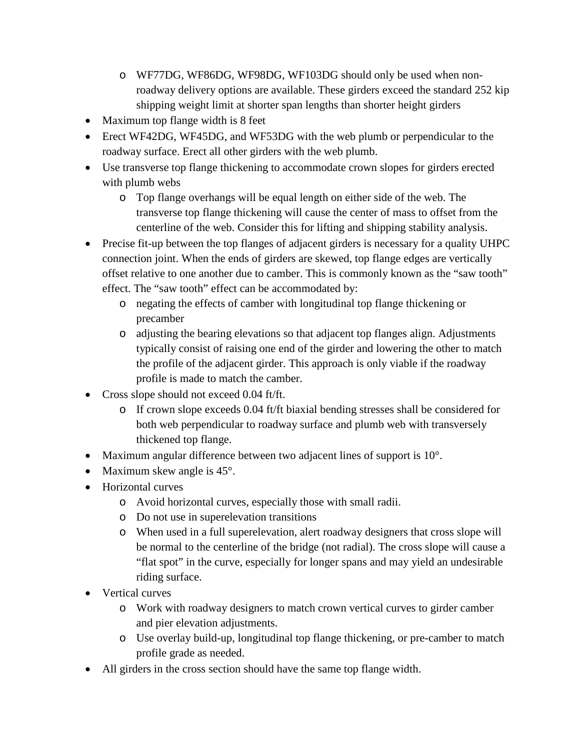- o WF77DG, WF86DG, WF98DG, WF103DG should only be used when nonroadway delivery options are available. These girders exceed the standard 252 kip shipping weight limit at shorter span lengths than shorter height girders
- Maximum top flange width is 8 feet
- Erect WF42DG, WF45DG, and WF53DG with the web plumb or perpendicular to the roadway surface. Erect all other girders with the web plumb.
- Use transverse top flange thickening to accommodate crown slopes for girders erected with plumb webs
	- o Top flange overhangs will be equal length on either side of the web. The transverse top flange thickening will cause the center of mass to offset from the centerline of the web. Consider this for lifting and shipping stability analysis.
- Precise fit-up between the top flanges of adjacent girders is necessary for a quality UHPC connection joint. When the ends of girders are skewed, top flange edges are vertically offset relative to one another due to camber. This is commonly known as the "saw tooth" effect. The "saw tooth" effect can be accommodated by:
	- o negating the effects of camber with longitudinal top flange thickening or precamber
	- o adjusting the bearing elevations so that adjacent top flanges align. Adjustments typically consist of raising one end of the girder and lowering the other to match the profile of the adjacent girder. This approach is only viable if the roadway profile is made to match the camber.
- Cross slope should not exceed 0.04 ft/ft.
	- o If crown slope exceeds 0.04 ft/ft biaxial bending stresses shall be considered for both web perpendicular to roadway surface and plumb web with transversely thickened top flange.
- Maximum angular difference between two adjacent lines of support is  $10^{\circ}$ .
- Maximum skew angle is 45°.
- Horizontal curves
	- o Avoid horizontal curves, especially those with small radii.
	- o Do not use in superelevation transitions
	- o When used in a full superelevation, alert roadway designers that cross slope will be normal to the centerline of the bridge (not radial). The cross slope will cause a "flat spot" in the curve, especially for longer spans and may yield an undesirable riding surface.
- Vertical curves
	- o Work with roadway designers to match crown vertical curves to girder camber and pier elevation adjustments.
	- o Use overlay build-up, longitudinal top flange thickening, or pre-camber to match profile grade as needed.
- All girders in the cross section should have the same top flange width.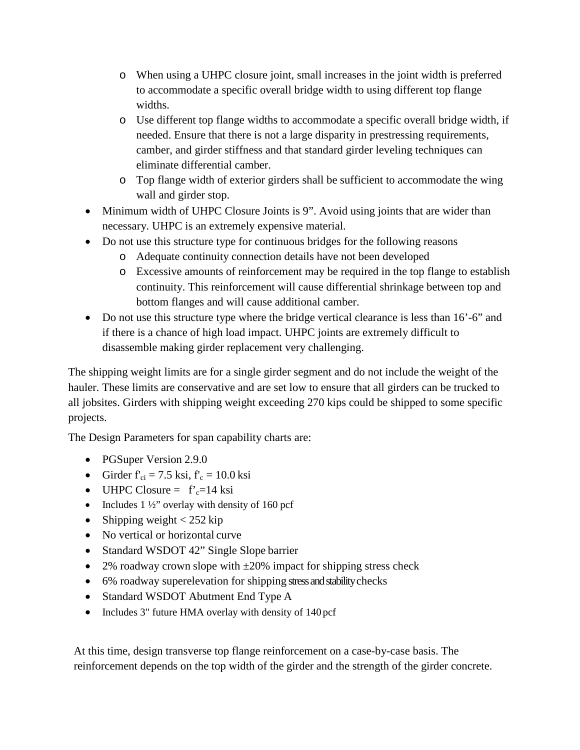- o When using a UHPC closure joint, small increases in the joint width is preferred to accommodate a specific overall bridge width to using different top flange widths.
- o Use different top flange widths to accommodate a specific overall bridge width, if needed. Ensure that there is not a large disparity in prestressing requirements, camber, and girder stiffness and that standard girder leveling techniques can eliminate differential camber.
- o Top flange width of exterior girders shall be sufficient to accommodate the wing wall and girder stop.
- Minimum width of UHPC Closure Joints is 9". Avoid using joints that are wider than necessary. UHPC is an extremely expensive material.
- Do not use this structure type for continuous bridges for the following reasons
	- o Adequate continuity connection details have not been developed
	- o Excessive amounts of reinforcement may be required in the top flange to establish continuity. This reinforcement will cause differential shrinkage between top and bottom flanges and will cause additional camber.
- Do not use this structure type where the bridge vertical clearance is less than 16'-6" and if there is a chance of high load impact. UHPC joints are extremely difficult to disassemble making girder replacement very challenging.

The shipping weight limits are for a single girder segment and do not include the weight of the hauler. These limits are conservative and are set low to ensure that all girders can be trucked to all jobsites. Girders with shipping weight exceeding 270 kips could be shipped to some specific projects.

The Design Parameters for span capability charts are:

- PGSuper Version 2.9.0
- Girder  $f'_{ci} = 7.5$  ksi,  $f'_{c} = 10.0$  ksi
- UHPC Closure =  $f'_c=14$  ksi
- Includes  $1\frac{1}{2}$ " overlay with density of 160 pcf
- Shipping weight  $< 252$  kip
- No vertical or horizontal curve
- Standard WSDOT 42" Single Slope barrier
- 2% roadway crown slope with  $\pm 20\%$  impact for shipping stress check
- 6% roadway superelevation for shipping stress and stability checks
- Standard WSDOT Abutment End Type A
- Includes 3" future HMA overlay with density of 140 pcf

At this time, design transverse top flange reinforcement on a case-by-case basis. The reinforcement depends on the top width of the girder and the strength of the girder concrete.